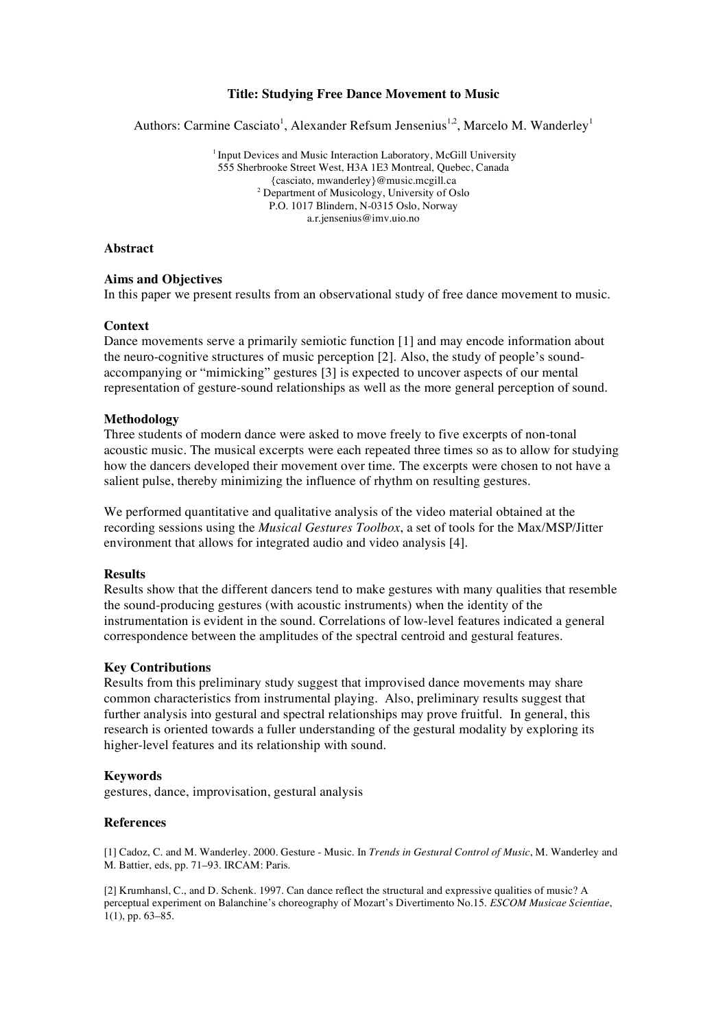## **Title: Studying Free Dance Movement to Music**

Authors: Carmine Casciato<sup>1</sup>, Alexander Refsum Jensenius<sup>1,2</sup>, Marcelo M. Wanderley<sup>1</sup>

<sup>1</sup> Input Devices and Music Interaction Laboratory, McGill University 555 Sherbrooke Street West, H3A 1E3 Montreal, Quebec, Canada {casciato, mwanderley}@music.mcgill.ca <sup>2</sup> Department of Musicology, University of Oslo P.O. 1017 Blindern, N-0315 Oslo, Norway a.r.jensenius@imv.uio.no

# **Abstract**

## **Aims and Objectives**

In this paper we present results from an observational study of free dance movement to music.

#### **Context**

Dance movements serve a primarily semiotic function [1] and may encode information about the neuro-cognitive structures of music perception [2]. Also, the study of people's soundaccompanying or "mimicking" gestures [3] is expected to uncover aspects of our mental representation of gesture-sound relationships as well as the more general perception of sound.

#### **Methodology**

Three students of modern dance were asked to move freely to five excerpts of non-tonal acoustic music. The musical excerpts were each repeated three times so as to allow for studying how the dancers developed their movement over time. The excerpts were chosen to not have a salient pulse, thereby minimizing the influence of rhythm on resulting gestures.

We performed quantitative and qualitative analysis of the video material obtained at the recording sessions using the *Musical Gestures Toolbox*, a set of tools for the Max/MSP/Jitter environment that allows for integrated audio and video analysis [4].

#### **Results**

Results show that the different dancers tend to make gestures with many qualities that resemble the sound-producing gestures (with acoustic instruments) when the identity of the instrumentation is evident in the sound. Correlations of low-level features indicated a general correspondence between the amplitudes of the spectral centroid and gestural features.

## **Key Contributions**

Results from this preliminary study suggest that improvised dance movements may share common characteristics from instrumental playing. Also, preliminary results suggest that further analysis into gestural and spectral relationships may prove fruitful. In general, this research is oriented towards a fuller understanding of the gestural modality by exploring its higher-level features and its relationship with sound.

## **Keywords**

gestures, dance, improvisation, gestural analysis

## **References**

[1] Cadoz, C. and M. Wanderley. 2000. Gesture - Music. In *Trends in Gestural Control of Music*, M. Wanderley and M. Battier, eds, pp. 71–93. IRCAM: Paris.

[2] Krumhansl, C., and D. Schenk. 1997. Can dance reflect the structural and expressive qualities of music? A perceptual experiment on Balanchine's choreography of Mozart's Divertimento No.15. *ESCOM Musicae Scientiae*, 1(1), pp. 63–85.